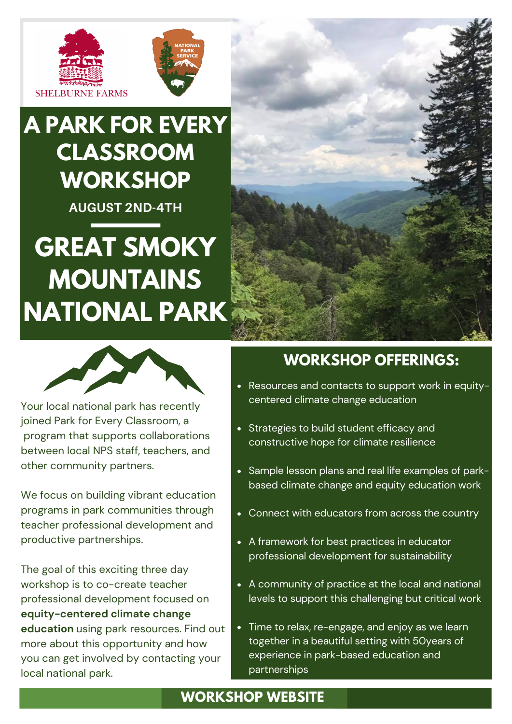



# **A PARK FOR EVERY CLASSROOM WORKSHOP**

**AUGUST 2ND-4TH**

# **GREAT SMOKY MOUNTAINS NATIONAL PARK**





Your local national park has recently joined Park for Every Classroom, a program that supports collaborations between local NPS staff, teachers, and other community partners.

We focus on building vibrant education programs in park communities through teacher professional development and productive partnerships.

The goal of this exciting three day workshop is to co-create teacher professional development focused on **equity-centered climate change education** using park resources. Find out more about this opportunity and how you can get involved by contacting your local national park.

### **WORKSHOP OFFERINGS:**

- Resources and contacts to support work in equitycentered climate change education
- Strategies to build student efficacy and constructive hope for climate resilience
- Sample lesson plans and real life examples of parkbased climate change and equity education work
- Connect with educators from across the country
- A framework for best practices in educator professional development for sustainability
- A community of practice at the local and national levels to support this challenging but critical work
- Time to relax, re-engage, and enjoy as we learn together in a beautiful setting with 50years of experience in park-based education and partnerships

#### **[WORKSHOP](https://sites.google.com/view/pec-national-pilot/home) WEBSITE**